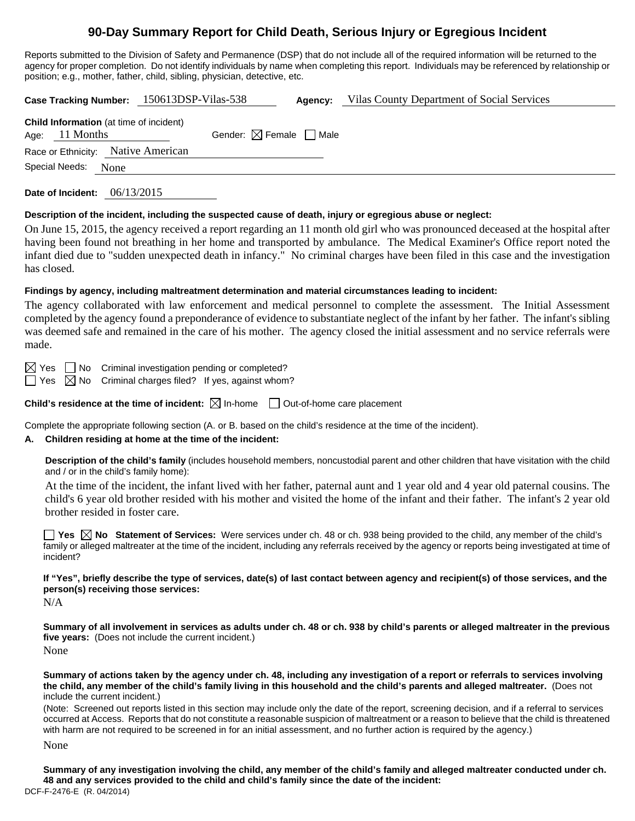# **90-Day Summary Report for Child Death, Serious Injury or Egregious Incident**

Reports submitted to the Division of Safety and Permanence (DSP) that do not include all of the required information will be returned to the agency for proper completion. Do not identify individuals by name when completing this report. Individuals may be referenced by relationship or position; e.g., mother, father, child, sibling, physician, detective, etc.

|                                                                    | Case Tracking Number: 150613DSP-Vilas-538 | Agency: | Vilas County Department of Social Services |
|--------------------------------------------------------------------|-------------------------------------------|---------|--------------------------------------------|
| <b>Child Information</b> (at time of incident)<br>Age: $11$ Months | Gender: $\boxtimes$ Female $\Box$ Male    |         |                                            |
| Race or Ethnicity: Native American                                 |                                           |         |                                            |
| Special Needs: None                                                |                                           |         |                                            |

**Date of Incident:** 06/13/2015

#### **Description of the incident, including the suspected cause of death, injury or egregious abuse or neglect:**

On June 15, 2015, the agency received a report regarding an 11 month old girl who was pronounced deceased at the hospital after having been found not breathing in her home and transported by ambulance. The Medical Examiner's Office report noted the infant died due to "sudden unexpected death in infancy." No criminal charges have been filed in this case and the investigation has closed.

### **Findings by agency, including maltreatment determination and material circumstances leading to incident:**

The agency collaborated with law enforcement and medical personnel to complete the assessment. The Initial Assessment completed by the agency found a preponderance of evidence to substantiate neglect of the infant by her father. The infant's sibling was deemed safe and remained in the care of his mother. The agency closed the initial assessment and no service referrals were made.

 $\boxtimes$  Yes  $\Box$  No Criminal investigation pending or completed?

 $\Box$  Yes  $\boxtimes$  No Criminal charges filed? If yes, against whom?

**Child's residence at the time of incident:**  $\boxtimes$  In-home  $\Box$  Out-of-home care placement

Complete the appropriate following section (A. or B. based on the child's residence at the time of the incident).

## **A. Children residing at home at the time of the incident:**

**Description of the child's family** (includes household members, noncustodial parent and other children that have visitation with the child and / or in the child's family home):

 At the time of the incident, the infant lived with her father, paternal aunt and 1 year old and 4 year old paternal cousins. The child's 6 year old brother resided with his mother and visited the home of the infant and their father. The infant's 2 year old brother resided in foster care.

■ Yes **No** Statement of Services: Were services under ch. 48 or ch. 938 being provided to the child, any member of the child's family or alleged maltreater at the time of the incident, including any referrals received by the agency or reports being investigated at time of incident?

**If "Yes", briefly describe the type of services, date(s) of last contact between agency and recipient(s) of those services, and the person(s) receiving those services:** 

N/A

**Summary of all involvement in services as adults under ch. 48 or ch. 938 by child's parents or alleged maltreater in the previous five years:** (Does not include the current incident.) None

**Summary of actions taken by the agency under ch. 48, including any investigation of a report or referrals to services involving the child, any member of the child's family living in this household and the child's parents and alleged maltreater.** (Does not include the current incident.)

(Note: Screened out reports listed in this section may include only the date of the report, screening decision, and if a referral to services occurred at Access. Reports that do not constitute a reasonable suspicion of maltreatment or a reason to believe that the child is threatened with harm are not required to be screened in for an initial assessment, and no further action is required by the agency.)

None

DCF-F-2476-E (R. 04/2014) **Summary of any investigation involving the child, any member of the child's family and alleged maltreater conducted under ch. 48 and any services provided to the child and child's family since the date of the incident:**